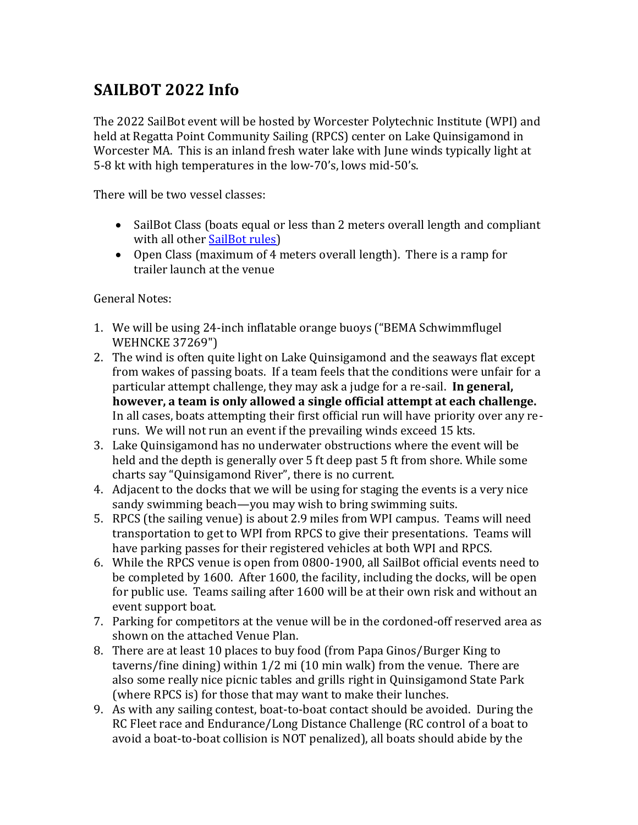## **SAILBOT 2022 Info**

The 2022 SailBot event will be hosted by Worcester Polytechnic Institute (WPI) and held at Regatta Point Community Sailing (RPCS) center on Lake Quinsigamond in Worcester MA. This is an inland fresh water lake with June winds typically light at 5-8 kt with high temperatures in the low-70's, lows mid-50's.

There will be two vessel classes:

- SailBot Class (boats equal or less than 2 meters overall length and compliant with all other [SailBot rules\)](https://www.sailbot.org/wp-content/uploads/2017/06/Class-Rules-2014.pdf)
- Open Class (maximum of 4 meters overall length). There is a ramp for trailer launch at the venue

General Notes:

- 1. We will be using 24-inch inflatable orange buoys ("BEMA Schwimmflugel WEHNCKE 37269")
- 2. The wind is often quite light on Lake Quinsigamond and the seaways flat except from wakes of passing boats. If a team feels that the conditions were unfair for a particular attempt challenge, they may ask a judge for a re-sail. **In general, however, a team is only allowed a single official attempt at each challenge.** In all cases, boats attempting their first official run will have priority over any reruns. We will not run an event if the prevailing winds exceed 15 kts.
- 3. Lake Quinsigamond has no underwater obstructions where the event will be held and the depth is generally over 5 ft deep past 5 ft from shore. While some charts say "Quinsigamond River", there is no current.
- 4. Adjacent to the docks that we will be using for staging the events is a very nice sandy swimming beach—you may wish to bring swimming suits.
- 5. RPCS (the sailing venue) is about 2.9 miles from WPI campus. Teams will need transportation to get to WPI from RPCS to give their presentations. Teams will have parking passes for their registered vehicles at both WPI and RPCS.
- 6. While the RPCS venue is open from 0800-1900, all SailBot official events need to be completed by 1600. After 1600, the facility, including the docks, will be open for public use. Teams sailing after 1600 will be at their own risk and without an event support boat.
- 7. Parking for competitors at the venue will be in the cordoned-off reserved area as shown on the attached Venue Plan.
- 8. There are at least 10 places to buy food (from Papa Ginos/Burger King to taverns/fine dining) within 1/2 mi (10 min walk) from the venue. There are also some really nice picnic tables and grills right in Quinsigamond State Park (where RPCS is) for those that may want to make their lunches.
- 9. As with any sailing contest, boat-to-boat contact should be avoided. During the RC Fleet race and Endurance/Long Distance Challenge (RC control of a boat to avoid a boat-to-boat collision is NOT penalized), all boats should abide by the